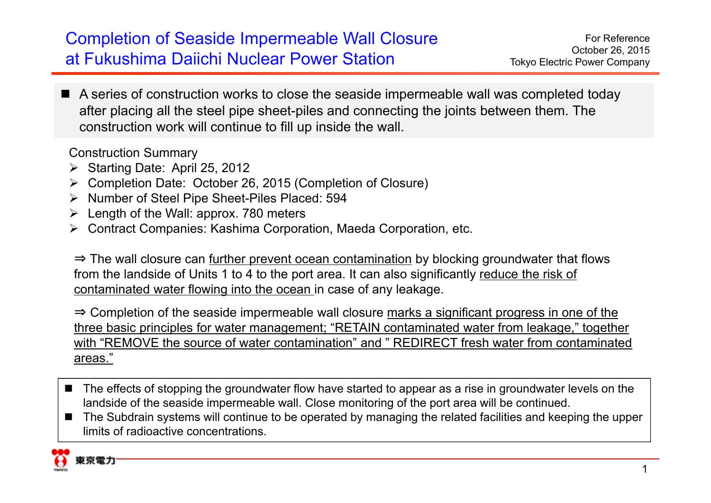## Completion of Seaside Impermeable Wall Closure at Fukushima Daiichi Nuclear Power Station

■ A series of construction works to close the seaside impermeable wall was completed today after placing all the steel pipe sheet-piles and connecting the joints between them. The construction work will continue to fill up inside the wall.

Construction Summary

- ▶ Starting Date: April 25, 2012
- Completion Date: October 26, 2015 (Completion of Closure)
- ▶ Number of Steel Pipe Sheet-Piles Placed: 594
- $\triangleright$  Length of the Wall: approx. 780 meters
- Contract Companies: Kashima Corporation, Maeda Corporation, etc.

⇒ The wall closure can further prevent ocean contamination by blocking groundwater that flows from the landside of Units 1 to 4 to the port area. It can also significantly reduce the risk of contaminated water flowing into the ocean in case of any leakage.

⇒ Completion of the seaside impermeable wall closure marks a significant progress in one of the three basic principles for water management; "RETAIN contaminated water from leakage," together with "REMOVE the source of water contamination" and " REDIRECT fresh water from contaminated areas."

- The effects of stopping the groundwater flow have started to appear as a rise in groundwater levels on the landside of the seaside impermeable wall. Close monitoring of the port area will be continued.
- The Subdrain systems will continue to be operated by managing the related facilities and keeping the upper limits of radioactive concentrations.

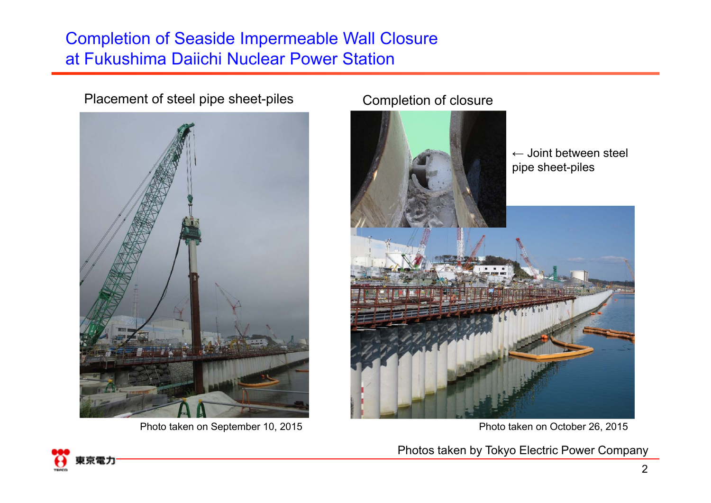## Completion of Seaside Impermeable Wall Closure at Fukushima Daiichi Nuclear Power Station

## Placement of steel pipe sheet-piles Completion of closure



Photo taken on September 10, 2015 **Photo taken on October 26, 2015** 





Photos taken by Tokyo Electric Power Company